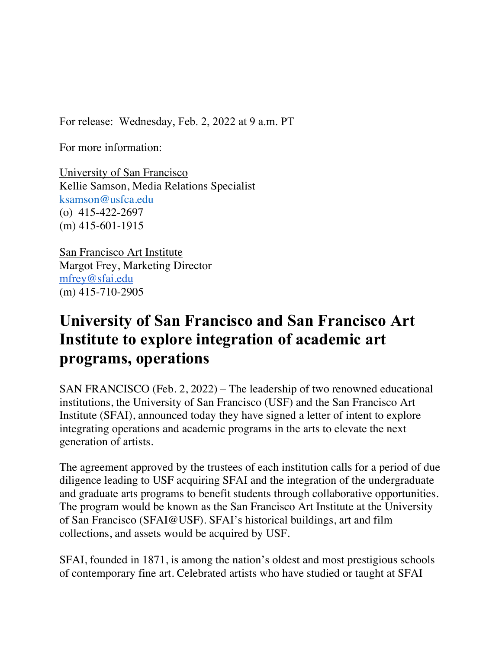For release: Wednesday, Feb. 2, 2022 at 9 a.m. PT

For more information:

University of San Francisco Kellie Samson, Media Relations Specialist ksamson@usfca.edu (o) 415-422-2697 (m) 415-601-1915

San Francisco Art Institute Margot Frey, Marketing Director mfrey@sfai.edu (m) 415-710-2905

## **University of San Francisco and San Francisco Art Institute to explore integration of academic art programs, operations**

SAN FRANCISCO (Feb. 2, 2022) – The leadership of two renowned educational institutions, the University of San Francisco (USF) and the San Francisco Art Institute (SFAI), announced today they have signed a letter of intent to explore integrating operations and academic programs in the arts to elevate the next generation of artists.

The agreement approved by the trustees of each institution calls for a period of due diligence leading to USF acquiring SFAI and the integration of the undergraduate and graduate arts programs to benefit students through collaborative opportunities. The program would be known as the San Francisco Art Institute at the University of San Francisco (SFAI@USF). SFAI's historical buildings, art and film collections, and assets would be acquired by USF.

SFAI, founded in 1871, is among the nation's oldest and most prestigious schools of contemporary fine art. Celebrated artists who have studied or taught at SFAI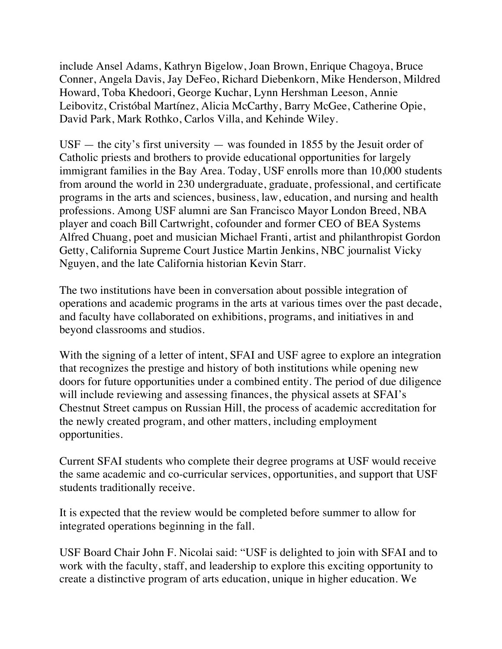include Ansel Adams, Kathryn Bigelow, Joan Brown, Enrique Chagoya, Bruce Conner, Angela Davis, Jay DeFeo, Richard Diebenkorn, Mike Henderson, Mildred Howard, Toba Khedoori, George Kuchar, Lynn Hershman Leeson, Annie Leibovitz, Cristóbal Martínez, Alicia McCarthy, Barry McGee, Catherine Opie, David Park, Mark Rothko, Carlos Villa, and Kehinde Wiley.

 $USF$  — the city's first university — was founded in 1855 by the Jesuit order of Catholic priests and brothers to provide educational opportunities for largely immigrant families in the Bay Area. Today, USF enrolls more than 10,000 students from around the world in 230 undergraduate, graduate, professional, and certificate programs in the arts and sciences, business, law, education, and nursing and health professions. Among USF alumni are San Francisco Mayor London Breed, NBA player and coach Bill Cartwright, cofounder and former CEO of BEA Systems Alfred Chuang, poet and musician Michael Franti, artist and philanthropist Gordon Getty, California Supreme Court Justice Martin Jenkins, NBC journalist Vicky Nguyen, and the late California historian Kevin Starr.

The two institutions have been in conversation about possible integration of operations and academic programs in the arts at various times over the past decade, and faculty have collaborated on exhibitions, programs, and initiatives in and beyond classrooms and studios.

With the signing of a letter of intent, SFAI and USF agree to explore an integration that recognizes the prestige and history of both institutions while opening new doors for future opportunities under a combined entity. The period of due diligence will include reviewing and assessing finances, the physical assets at SFAI's Chestnut Street campus on Russian Hill, the process of academic accreditation for the newly created program, and other matters, including employment opportunities.

Current SFAI students who complete their degree programs at USF would receive the same academic and co-curricular services, opportunities, and support that USF students traditionally receive.

It is expected that the review would be completed before summer to allow for integrated operations beginning in the fall.

USF Board Chair John F. Nicolai said: "USF is delighted to join with SFAI and to work with the faculty, staff, and leadership to explore this exciting opportunity to create a distinctive program of arts education, unique in higher education. We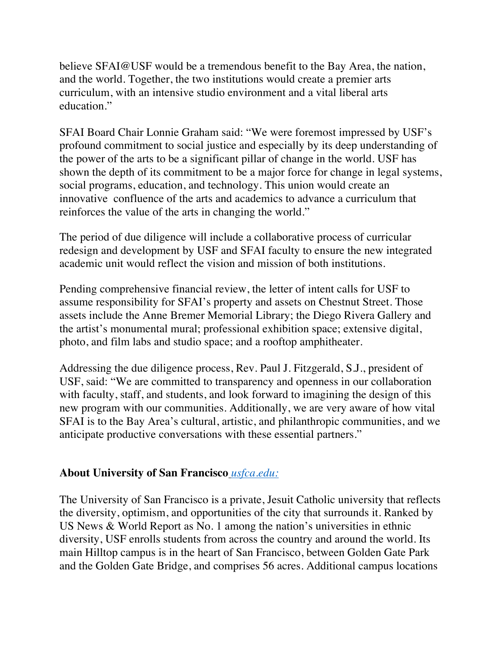believe SFAI@USF would be a tremendous benefit to the Bay Area, the nation, and the world. Together, the two institutions would create a premier arts curriculum, with an intensive studio environment and a vital liberal arts education."

SFAI Board Chair Lonnie Graham said: "We were foremost impressed by USF's profound commitment to social justice and especially by its deep understanding of the power of the arts to be a significant pillar of change in the world. USF has shown the depth of its commitment to be a major force for change in legal systems, social programs, education, and technology. This union would create an innovative confluence of the arts and academics to advance a curriculum that reinforces the value of the arts in changing the world."

The period of due diligence will include a collaborative process of curricular redesign and development by USF and SFAI faculty to ensure the new integrated academic unit would reflect the vision and mission of both institutions.

Pending comprehensive financial review, the letter of intent calls for USF to assume responsibility for SFAI's property and assets on Chestnut Street. Those assets include the Anne Bremer Memorial Library; the Diego Rivera Gallery and the artist's monumental mural; professional exhibition space; extensive digital, photo, and film labs and studio space; and a rooftop amphitheater.

Addressing the due diligence process, Rev. Paul J. Fitzgerald, S.J., president of USF, said: "We are committed to transparency and openness in our collaboration with faculty, staff, and students, and look forward to imagining the design of this new program with our communities. Additionally, we are very aware of how vital SFAI is to the Bay Area's cultural, artistic, and philanthropic communities, and we anticipate productive conversations with these essential partners."

## **About University of San Francisco** *usfca.edu:*

The University of San Francisco is a private, Jesuit Catholic university that reflects the diversity, optimism, and opportunities of the city that surrounds it. Ranked by US News & World Report as No. 1 among the nation's universities in ethnic diversity, USF enrolls students from across the country and around the world. Its main Hilltop campus is in the heart of San Francisco, between Golden Gate Park and the Golden Gate Bridge, and comprises 56 acres. Additional campus locations